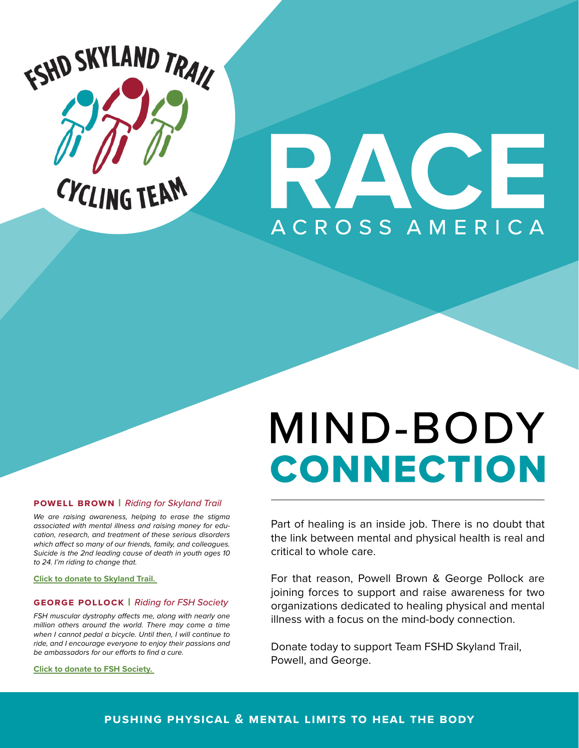

# ACE **ACROSS AMERICA**

# MIND-BODY **CONNECTION**

#### **powell brown** | *Riding for Skyland Trail*

*We are raising awareness, helping to erase the stigma associated with mental illness and raising money for education, research, and treatment of these serious disorders which affect so many of our friends, family, and colleagues. Suicide is the 2nd leading cause of death in youth ages 10 to 24. I'm riding to change that.* 

**[Click to donate to Skyland Trail.](https://www.skylandtrail.org/Support-Us/Powells-Race-Across-America)** 

#### **george pollock** | *Riding for FSH Society*

*FSH muscular dystrophy affects me, along with nearly one million others around the world. There may come a time when I cannot pedal a bicycle. Until then, I will continue to ride, and I encourage everyone to enjoy their passions and be ambassadors for our efforts to find a cure.* 

**[Click to donate to FSH Society.](https://teamfshd.fshsociety.org/raam)** 

Part of healing is an inside job. There is no doubt that the link between mental and physical health is real and critical to whole care.

For that reason, Powell Brown & George Pollock are joining forces to support and raise awareness for two organizations dedicated to healing physical and mental illness with a focus on the mind-body connection.

Donate today to support Team FSHD Skyland Trail, Powell, and George.

#### **pushing physical & mental limits to heal the body**